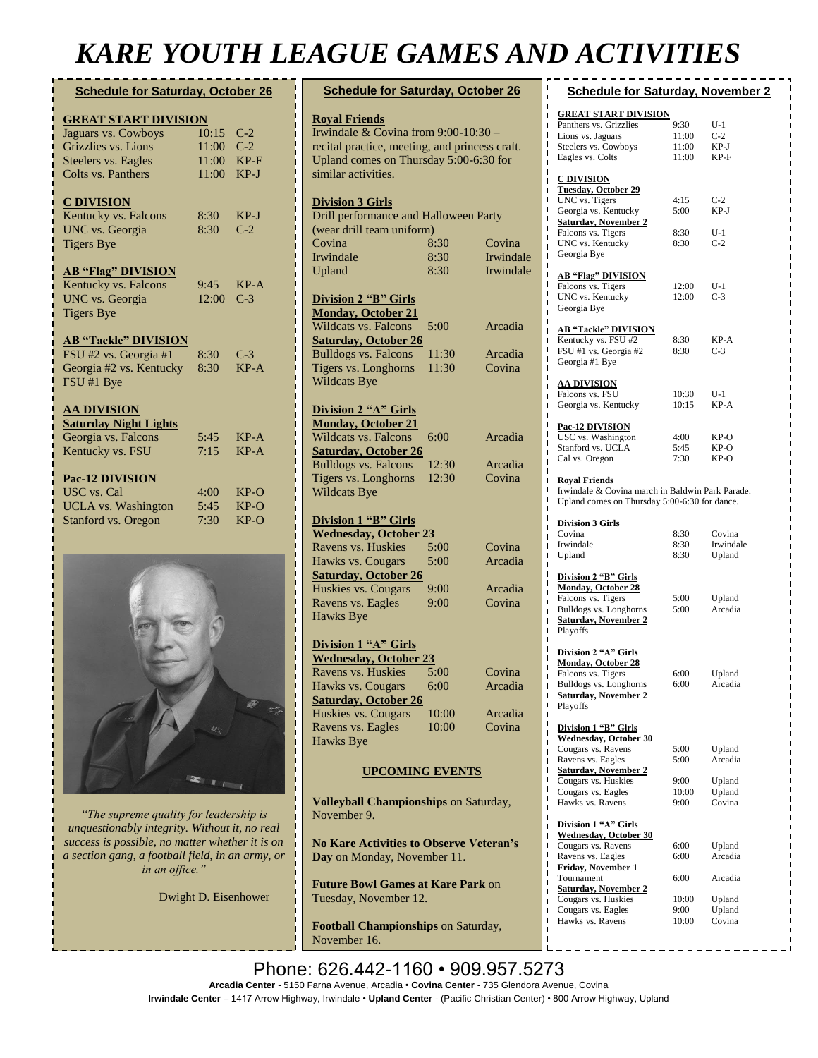## *KARE YOUTH LEAGUE GAMES AND ACTIVITIES*

| <b>Schedule for Saturday, October 26</b> |       |        |  |  |  |  |
|------------------------------------------|-------|--------|--|--|--|--|
| <b>GREAT START DIVISION</b>              |       |        |  |  |  |  |
| Jaguars vs. Cowboys                      | 10:15 | $C-2$  |  |  |  |  |
| Grizzlies vs. Lions                      | 11:00 | $C-2$  |  |  |  |  |
| <b>Steelers vs. Eagles</b>               | 11:00 | $KP-F$ |  |  |  |  |
| Colts vs. Panthers                       | 11:00 | $KP-J$ |  |  |  |  |
|                                          |       |        |  |  |  |  |
| <b>C DIVISION</b>                        |       |        |  |  |  |  |
| Kentucky vs. Falcons                     | 8:30  | $KP-J$ |  |  |  |  |
| UNC vs. Georgia                          | 8:30  | $C-2$  |  |  |  |  |
| <b>Tigers Bye</b>                        |       |        |  |  |  |  |
| <b>AB "Flag" DIVISION</b>                |       |        |  |  |  |  |
| Kentucky vs. Falcons                     | 9:45  | $KP-A$ |  |  |  |  |
| <b>UNC</b> vs. Georgia                   | 12:00 | $C-3$  |  |  |  |  |
| <b>Tigers Bye</b>                        |       |        |  |  |  |  |
| <b>AB "Tackle" DIVISION</b>              |       |        |  |  |  |  |
| FSU #2 vs. Georgia #1                    | 8:30  | $C-3$  |  |  |  |  |
| Georgia #2 vs. Kentucky                  | 8:30  | $KP-A$ |  |  |  |  |
| FSU #1 Bye                               |       |        |  |  |  |  |
| <b>AA DIVISION</b>                       |       |        |  |  |  |  |
| <b>Saturday Night Lights</b>             |       |        |  |  |  |  |
| Georgia vs. Falcons                      | 5:45  | $KP-A$ |  |  |  |  |
| Kentucky vs. FSU                         | 7:15  | $KP-A$ |  |  |  |  |
|                                          |       |        |  |  |  |  |
| <b>Pac-12 DIVISION</b>                   |       |        |  |  |  |  |
| <b>USC</b> vs. Cal                       | 4:00  | $KP-O$ |  |  |  |  |
| <b>UCLA</b> vs. Washington               | 5:45  | $KP-O$ |  |  |  |  |
| <b>Stanford vs. Oregon</b>               | 7:30  | $KP-O$ |  |  |  |  |
|                                          |       |        |  |  |  |  |



*"The supreme quality for leadership is unquestionably integrity. Without it, no real success is possible, no matter whether it is on a section gang, a football field, in an army, or in an office."*

Dwight D. Eisenhower

| <b>Schedule for Saturday, October 26</b>                                                                                                                                        |              |                   |
|---------------------------------------------------------------------------------------------------------------------------------------------------------------------------------|--------------|-------------------|
| <b>Royal Friends</b><br>Irwindale & Covina from 9:00-10:30 -<br>recital practice, meeting, and princess craft.<br>Upland comes on Thursday 5:00-6:30 for<br>similar activities. |              |                   |
| <b>Division 3 Girls</b><br>Drill performance and Halloween Party                                                                                                                |              |                   |
| (wear drill team uniform)                                                                                                                                                       |              |                   |
| Covina                                                                                                                                                                          | 8:30         | Covina            |
| Irwindale                                                                                                                                                                       | 8:30         | Irwindale         |
| Upland                                                                                                                                                                          | 8:30         | Irwindale         |
| <b>Division 2 "B" Girls</b><br><b>Monday, October 21</b>                                                                                                                        |              |                   |
| Wildcats vs. Falcons                                                                                                                                                            | 5:00         | Arcadia           |
| <b>Saturday, October 26</b>                                                                                                                                                     |              |                   |
| <b>Bulldogs vs. Falcons</b>                                                                                                                                                     | 11:30        | Arcadia           |
| Tigers vs. Longhorns                                                                                                                                                            | 11:30        | Covina            |
| <b>Wildcats Bye</b>                                                                                                                                                             |              |                   |
| <b>Division 2 "A" Girls</b><br><b>Monday, October 21</b>                                                                                                                        |              |                   |
| <b>Wildcats vs. Falcons</b>                                                                                                                                                     | 6:00         | Arcadia           |
| <b>Saturday, October 26</b>                                                                                                                                                     |              |                   |
| <b>Bulldogs vs. Falcons</b>                                                                                                                                                     | 12:30        | Arcadia           |
| Tigers vs. Longhorns                                                                                                                                                            | 12:30        | Covina            |
| <b>Wildcats Bye</b>                                                                                                                                                             |              |                   |
|                                                                                                                                                                                 |              |                   |
| <b>Division 1 "B" Girls</b>                                                                                                                                                     |              |                   |
| <b>Wednesday, October 23</b>                                                                                                                                                    |              |                   |
| Ravens vs. Huskies                                                                                                                                                              | 5:00         | Covina            |
| Hawks vs. Cougars                                                                                                                                                               | 5:00         | Arcadia           |
| <b>Saturday, October 26</b>                                                                                                                                                     |              |                   |
| Huskies vs. Cougars<br>Ravens vs. Eagles                                                                                                                                        | 9:00<br>9:00 | Arcadia<br>Covina |
| <b>Hawks Bye</b>                                                                                                                                                                |              |                   |
|                                                                                                                                                                                 |              |                   |
| Division 1 "A" Girls                                                                                                                                                            |              |                   |
| <b>Wednesday, October 23</b>                                                                                                                                                    |              |                   |
| Ravens vs. Huskies                                                                                                                                                              | 5:00         | Covina            |
| Hawks vs. Cougars                                                                                                                                                               | 6:00         | Arcadia           |
| <b>Saturday, October 26</b>                                                                                                                                                     |              |                   |
| Huskies vs. Cougars                                                                                                                                                             | 10:00        | Arcadia           |
| Ravens vs. Eagles                                                                                                                                                               | 10:00        | Covina            |
| <b>Hawks Bye</b>                                                                                                                                                                |              |                   |
| <b>UPCOMING EVENTS</b>                                                                                                                                                          |              |                   |
| <b>Volleyball Championships on Saturday,</b><br>November 9.                                                                                                                     |              |                   |
| <b>No Kare Activities to Observe Veteran's</b><br>Day on Monday, November 11.                                                                                                   |              |                   |
| <b>Future Bowl Games at Kare Park on</b><br>Tuesday, November 12.                                                                                                               |              |                   |

**Football Championships** on Saturday, November 16.

| <b>Schedule for Saturday, November 2</b>              |       |           |
|-------------------------------------------------------|-------|-----------|
|                                                       |       |           |
| <b>GREAT START DIVISION</b>                           |       |           |
| Panthers vs. Grizzlies<br>П                           | 9:30  | U-1       |
| ı<br>Lions vs. Jaguars                                | 11:00 | $C-2$     |
| ı<br>Steelers vs. Cowboys<br>ı                        | 11:00 | KP-J      |
| Eagles vs. Colts<br>ı                                 | 11:00 | KP-F      |
| П                                                     |       |           |
| C DIVISION<br>П                                       |       |           |
| <b>Tuesday, October 29</b><br>п                       |       |           |
| ı<br>UNC vs. Tigers                                   | 4:15  | $C-2$     |
| ī<br>Georgia vs. Kentucky<br>п                        | 5:00  | KP-J      |
| <b>Saturday, November 2</b><br>ı                      |       |           |
| Falcons vs. Tigers<br>ı                               | 8:30  | U-1       |
| UNC vs. Kentucky<br>п                                 | 8:30  | $C-2$     |
| Georgia Bye<br>ī                                      |       |           |
| П<br>Т                                                |       |           |
| <b>AB "Flag" DIVISION</b><br>П                        |       |           |
| Falcons vs. Tigers<br>ı                               | 12:00 | U-1       |
| UNC vs. Kentucky<br>ı                                 | 12:00 | C-3       |
| Georgia Bye<br>П                                      |       |           |
| ī                                                     |       |           |
| <b>AB "Tackle" DIVISION</b><br>ī<br>П                 |       |           |
| Kentucky vs. FSU #2<br>ı                              | 8:30  | KP-A      |
| FSU #1 vs. Georgia #2<br>ı                            | 8:30  | C-3       |
| Georgia #1 Bye<br>ī                                   |       |           |
| П                                                     |       |           |
| <u>AA DIVISION</u><br>Т<br>Falcons vs. FSU            | 10:30 | U-1       |
| ī<br>Georgia vs. Kentucky                             | 10:15 | KP-A      |
| П<br>ı                                                |       |           |
| ı<br>Pac-12 DIVISION                                  |       |           |
| П<br>USC vs. Washington                               | 4:00  | KP-O      |
| ı<br>Stanford vs. UCLA                                | 5:45  | KP-O      |
| ı<br>Cal vs. Oregon                                   | 7:30  | KP-O      |
| ı<br>п                                                |       |           |
| <b>Royal Friends</b><br>П                             |       |           |
| П<br>Irwindale & Covina march in Baldwin Park Parade. |       |           |
| ı<br>Upland comes on Thursday 5:00-6:30 for dance.    |       |           |
| П                                                     |       |           |
| ı<br><b>Division 3 Girls</b>                          |       |           |
| п<br>Covina<br>П                                      | 8:30  | Covina    |
| Irwindale<br>П                                        | 8:30  | Irwindale |
| Upland<br>п                                           | 8:30  | Upland    |
| П                                                     |       |           |
| П<br>Division 2 "B" Girls                             |       |           |
| п<br><b>Monday, October 28</b>                        |       |           |
| П<br>Falcons vs. Tigers<br>ī                          | 5:00  | Upland    |
| Bulldogs vs. Longhorns<br>Т                           | 5:00  | Arcadia   |
| <b>Saturday, November 2</b><br>П                      |       |           |
| ī<br>Playoffs                                         |       |           |
| ī                                                     |       |           |
| ı<br>Division 2 "A" Girls                             |       |           |
| ı<br><b>Monday, October 28</b><br>I                   |       |           |
| Falcons vs. Tigers<br>ı                               | 6:00  | Upland    |
| Bulldogs vs. Longhorns<br>ı                           | 6:00  | Arcadia   |
| <b>Saturday, November 2</b><br>Π                      |       |           |
| ı<br>Playoffs                                         |       |           |
| П                                                     |       |           |
| ı<br>Division 1 "B" Girls<br>ı                        |       |           |
| Wednesday, October 30                                 |       |           |
| Cougars vs. Ravens<br>ı                               | 5:00  | Upland    |
| Ravens vs. Eagles<br>ı                                | 5:00  | Arcadia   |
| ı<br><u>Saturday, November 2</u>                      |       |           |
| ı<br>Cougars vs. Huskies                              | 9:00  | Upland    |
| ı<br>Cougars vs. Eagles<br>ı                          | 10:00 | Upland    |
| Hawks vs. Ravens<br>ı                                 | 9:00  | Covina    |
| ı                                                     |       |           |
| Division 1 "A" Girls<br>ī                             |       |           |
| <b>Wednesday, October 30</b><br>ı                     |       |           |
| ı<br>Cougars vs. Ravens                               | 6:00  | Upland    |
| ı<br>Ravens vs. Eagles                                | 6:00  | Arcadia   |
| ı<br><u>Friday, November 1</u><br>ı                   |       |           |
| Tournament<br>ı                                       | 6:00  | Arcadia   |
| <b>Saturday, November 2</b><br>Т                      |       |           |
| Cougars vs. Huskies<br>ı                              | 10:00 | Upland    |
| Cougars vs. Eagles<br>П                               | 9:00  | Upland    |
| ı<br>Hawks vs. Ravens                                 | 10:00 | Covina    |